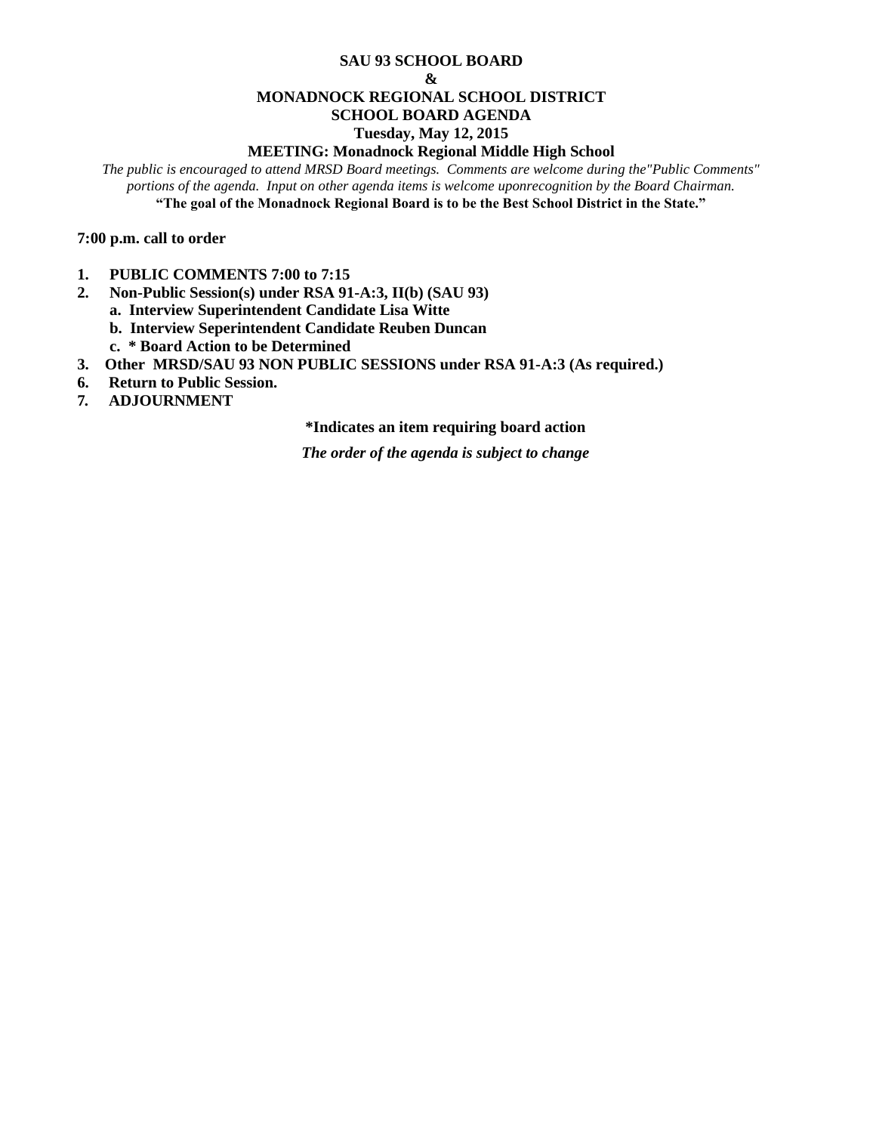#### **SAU 93 SCHOOL BOARD**

#### **&**

## **MONADNOCK REGIONAL SCHOOL DISTRICT**

### **SCHOOL BOARD AGENDA**

#### **Tuesday, May 12, 2015**

#### **MEETING: Monadnock Regional Middle High School**

*The public is encouraged to attend MRSD Board meetings. Comments are welcome during the"Public Comments" portions of the agenda. Input on other agenda items is welcome uponrecognition by the Board Chairman.* **"The goal of the Monadnock Regional Board is to be the Best School District in the State."**

**7:00 p.m. call to order** 

- **1. PUBLIC COMMENTS 7:00 to 7:15**
- **2. Non-Public Session(s) under RSA 91-A:3, II(b) (SAU 93)**
	- **a. Interview Superintendent Candidate Lisa Witte**
	- **b. Interview Seperintendent Candidate Reuben Duncan**
	- **c. \* Board Action to be Determined**
- **3. Other MRSD/SAU 93 NON PUBLIC SESSIONS under RSA 91-A:3 (As required.)**
- **6. Return to Public Session.**
- **7***.* **ADJOURNMENT**

#### **\*Indicates an item requiring board action**

*The order of the agenda is subject to change*